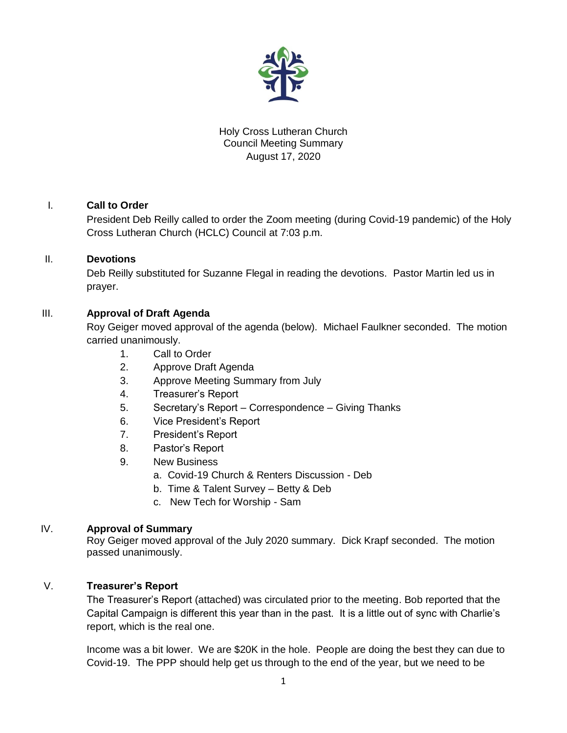

# Holy Cross Lutheran Church Council Meeting Summary August 17, 2020

# I. **Call to Order**

President Deb Reilly called to order the Zoom meeting (during Covid-19 pandemic) of the Holy Cross Lutheran Church (HCLC) Council at 7:03 p.m.

## II. **Devotions**

Deb Reilly substituted for Suzanne Flegal in reading the devotions. Pastor Martin led us in prayer.

# III. **Approval of Draft Agenda**

Roy Geiger moved approval of the agenda (below). Michael Faulkner seconded. The motion carried unanimously.

- 1. Call to Order
- 2. Approve Draft Agenda
- 3. Approve Meeting Summary from July
- 4. Treasurer's Report
- 5. Secretary's Report Correspondence Giving Thanks
- 6. Vice President's Report
- 7. President's Report
- 8. Pastor's Report
- 9. New Business
	- a. Covid-19 Church & Renters Discussion Deb
	- b. Time & Talent Survey Betty & Deb
	- c. New Tech for Worship Sam

#### IV. **Approval of Summary**

Roy Geiger moved approval of the July 2020 summary. Dick Krapf seconded. The motion passed unanimously.

## V. **Treasurer's Report**

The Treasurer's Report (attached) was circulated prior to the meeting. Bob reported that the Capital Campaign is different this year than in the past. It is a little out of sync with Charlie's report, which is the real one.

Income was a bit lower. We are \$20K in the hole. People are doing the best they can due to Covid-19. The PPP should help get us through to the end of the year, but we need to be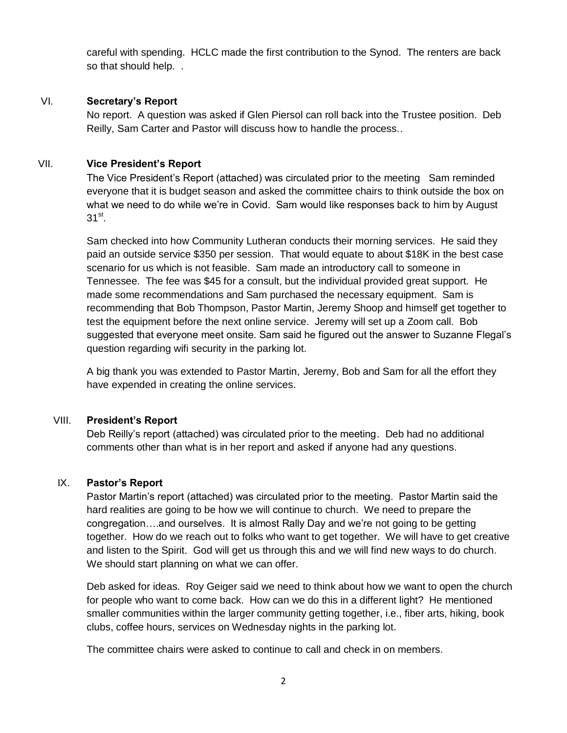careful with spending. HCLC made the first contribution to the Synod. The renters are back so that should help. .

## VI. **Secretary's Report**

No report. A question was asked if Glen Piersol can roll back into the Trustee position. Deb Reilly, Sam Carter and Pastor will discuss how to handle the process..

## VII. **Vice President's Report**

The Vice President's Report (attached) was circulated prior to the meeting Sam reminded everyone that it is budget season and asked the committee chairs to think outside the box on what we need to do while we're in Covid. Sam would like responses back to him by August  $31<sup>st</sup>$ .

Sam checked into how Community Lutheran conducts their morning services. He said they paid an outside service \$350 per session. That would equate to about \$18K in the best case scenario for us which is not feasible. Sam made an introductory call to someone in Tennessee. The fee was \$45 for a consult, but the individual provided great support. He made some recommendations and Sam purchased the necessary equipment. Sam is recommending that Bob Thompson, Pastor Martin, Jeremy Shoop and himself get together to test the equipment before the next online service. Jeremy will set up a Zoom call. Bob suggested that everyone meet onsite. Sam said he figured out the answer to Suzanne Flegal's question regarding wifi security in the parking lot.

A big thank you was extended to Pastor Martin, Jeremy, Bob and Sam for all the effort they have expended in creating the online services.

#### VIII. **President's Report**

Deb Reilly's report (attached) was circulated prior to the meeting. Deb had no additional comments other than what is in her report and asked if anyone had any questions.

#### IX. **Pastor's Report**

Pastor Martin's report (attached) was circulated prior to the meeting. Pastor Martin said the hard realities are going to be how we will continue to church. We need to prepare the congregation….and ourselves. It is almost Rally Day and we're not going to be getting together. How do we reach out to folks who want to get together. We will have to get creative and listen to the Spirit. God will get us through this and we will find new ways to do church. We should start planning on what we can offer.

Deb asked for ideas. Roy Geiger said we need to think about how we want to open the church for people who want to come back. How can we do this in a different light? He mentioned smaller communities within the larger community getting together, i.e., fiber arts, hiking, book clubs, coffee hours, services on Wednesday nights in the parking lot.

The committee chairs were asked to continue to call and check in on members.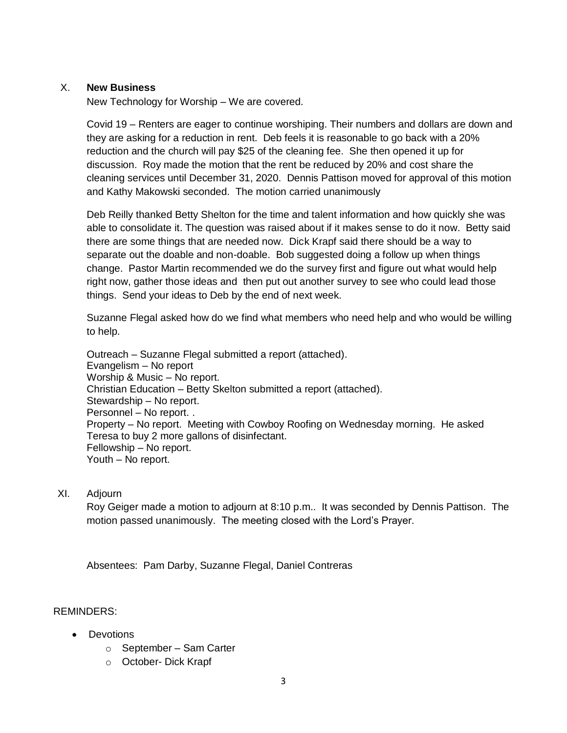#### X. **New Business**

New Technology for Worship – We are covered.

Covid 19 – Renters are eager to continue worshiping. Their numbers and dollars are down and they are asking for a reduction in rent. Deb feels it is reasonable to go back with a 20% reduction and the church will pay \$25 of the cleaning fee. She then opened it up for discussion. Roy made the motion that the rent be reduced by 20% and cost share the cleaning services until December 31, 2020. Dennis Pattison moved for approval of this motion and Kathy Makowski seconded. The motion carried unanimously

Deb Reilly thanked Betty Shelton for the time and talent information and how quickly she was able to consolidate it. The question was raised about if it makes sense to do it now. Betty said there are some things that are needed now. Dick Krapf said there should be a way to separate out the doable and non-doable. Bob suggested doing a follow up when things change. Pastor Martin recommended we do the survey first and figure out what would help right now, gather those ideas and then put out another survey to see who could lead those things. Send your ideas to Deb by the end of next week.

Suzanne Flegal asked how do we find what members who need help and who would be willing to help.

Outreach – Suzanne Flegal submitted a report (attached). Evangelism – No report Worship & Music – No report. Christian Education – Betty Skelton submitted a report (attached). Stewardship – No report. Personnel – No report. . Property – No report. Meeting with Cowboy Roofing on Wednesday morning. He asked Teresa to buy 2 more gallons of disinfectant. Fellowship – No report. Youth – No report.

## XI. Adjourn

Roy Geiger made a motion to adjourn at 8:10 p.m.. It was seconded by Dennis Pattison. The motion passed unanimously. The meeting closed with the Lord's Prayer.

Absentees: Pam Darby, Suzanne Flegal, Daniel Contreras

#### REMINDERS:

- **•** Devotions
	- o September Sam Carter
	- o October- Dick Krapf